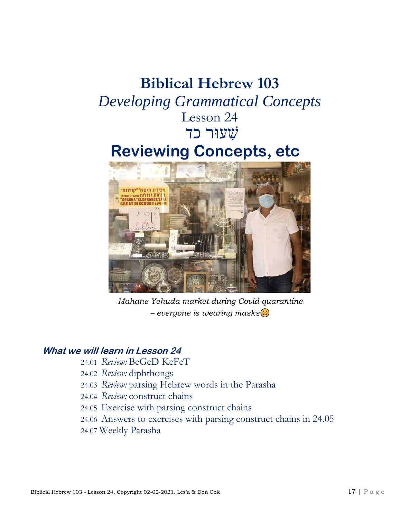# **Biblical Hebrew 103** *Developing Grammatical Concepts* Lesson 24 שׁ ִעוּר כד **Reviewing Concepts, etc**



*Mahane Yehuda market during Covid quarantine – everyone is wearing masks*

# **What we will learn in Lesson 24**

- 24.01 *Review:* BeGeD KeFeT
- 24.02 *Review:* diphthongs
- 24.03 *Review:* parsing Hebrew words in the Parasha
- 24.04 *Review:* construct chains
- 24.05 Exercise with parsing construct chains
- 24.06 Answers to exercises with parsing construct chains in 24.05
- 24.07 Weekly Parasha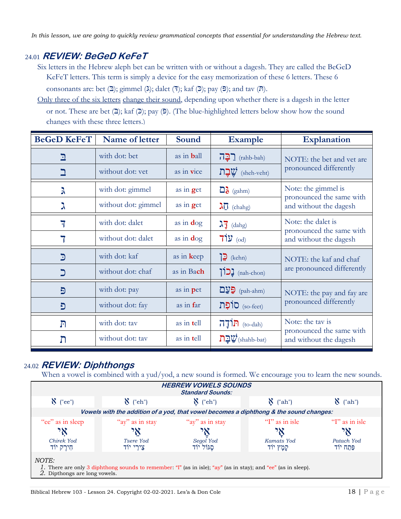*In this lesson, we are going to quickly review grammatical concepts that essential for understanding the Hebrew text.*

# 24.01 **REVIEW: BeGeD KeFeT**

- Six letters in the Hebrew aleph bet can be written with or without a dagesh. They are called the BeGeD KeFeT letters. This term is simply a device for the easy memorization of these 6 letters. These 6 consonants are: bet  $(2)$ ; gimmel  $(\lambda)$ ; dalet  $(7)$ ; kaf  $(2)$ ; pay  $(9)$ ; and tav  $(n)$ .
- Only three of the six letters change their sound, depending upon whether there is a dagesh in the letter or not. These are bet  $(2)$ ; kaf  $(2)$ ; pay  $(5)$ . (The blue-highlighted letters below show how the sound changes with these three letters.)

| <b>BeGeD KeFeT</b> | Name of letter      | Sound              | <b>Example</b>                                                   | <b>Explanation</b>                                   |  |
|--------------------|---------------------|--------------------|------------------------------------------------------------------|------------------------------------------------------|--|
| <u>ר</u>           | with dot: bet       | as in <b>b</b> all | $\prod$ (rahb-bah)                                               | NOTE: the bet and vet are<br>pronounced differently  |  |
|                    | without dot: yet    | as in vice         | שֲבַת (sheh-veht)                                                |                                                      |  |
| λ                  | with dot: gimmel    | as in get          | $\Box$ (gahm)                                                    | Note: the gimmel is                                  |  |
| ス                  | without dot: gimmel | as in get          | $\lambda \vec{0}$ (chahg)                                        | pronounced the same with<br>and without the dagesh   |  |
| 7                  | with dot: dalet     | as in $\deg$       | $\lambda \overline{1}$ (dahg)                                    | Note: the dalet is                                   |  |
|                    | without dot: dalet  | as in $\deg$       | $71y$ (od)                                                       | pronounced the same with<br>and without the dagesh   |  |
| $\mathbf{C}$       | with dot: kaf       | as in keep         | $\sum$ (kehn)                                                    | NOTE: the kaf and chaf<br>are pronounced differently |  |
|                    | without dot: chaf   | as in Bach         | $\sum$ (nah-chon)                                                |                                                      |  |
| Đ                  | with dot: pay       | as in pet          | $\mathbf{D} \mathbf{y}$ (pah-ahm)                                | NOTE: the pay and fay are<br>pronounced differently  |  |
| Đ                  | without dot: fay    | as in far          | (so-feet) סוֹפָת                                                 |                                                      |  |
| $\Gamma$           | with dot: tav       | as in tell         | $\overline{\Pi}$ <sup><math>\overline{\Pi}</math></sup> (to-dah) | Note: the tay is<br>pronounced the same with         |  |
| ת                  | without dot: tav    | as in tell         | $\square$ עַר $\mathcal{V}$ (shahb-bat)                          | and without the dagesh                               |  |

# 24.02 **REVIEW: Diphthongs**

When a vowel is combined with a yud/yod, a new sound is formed. We encourage you to learn the new sounds.

| <b>HEBREW VOWELS SOUNDS</b><br><b>Standard Sounds:</b>                                                                                                   |                       |                       |                         |                       |
|----------------------------------------------------------------------------------------------------------------------------------------------------------|-----------------------|-----------------------|-------------------------|-----------------------|
| $\aleph$ ("ee")                                                                                                                                          | $\aleph$ ("eh")       | $\sum$ ("eh")         | $\sum$ ("ah")           | ("ah")                |
| Vowels with the addition of a yod, that vowel becomes a diphthong & the sound changes:                                                                   |                       |                       |                         |                       |
| "ee" as in sleep                                                                                                                                         | "ay" as in stay       | "ay" as in stay       | " $\Gamma$ " as in isle | $T'$ as in isle       |
| ገአ                                                                                                                                                       | אי                    | ٦Ņ                    | 7X                      | אי                    |
| Chirek Yod<br>חִירֵק יוֹד                                                                                                                                | Tsere Yod<br>צירי יוד | Segol Yod<br>סגול יוד | Kamats Yod<br>קמַץ יוֹד | Patach Yod<br>פתח יוד |
| NOTE:<br>1. There are only 3 diphthong sounds to remember: "I" (as in isle); "ay" (as in stay); and "ee" (as in sleep).<br>2. Dipthongs are long vowels. |                       |                       |                         |                       |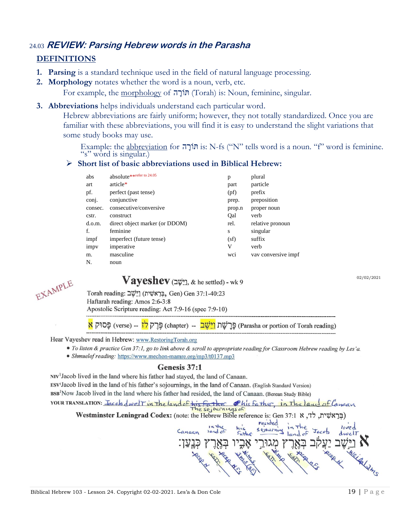## 24.03 **REVIEW: Parsing Hebrew words in the Parasha**

#### **DEFINITIONS**

- **1. Parsing** is a standard technique used in the field of natural language processing.
- **2. Morphology** notates whether the word is a noun, verb, etc.

For example, the morphology of הוֹרָה (Torah) is: Noun, feminine, singular.

**3. Abbreviations** helps individuals understand each particular word.

Hebrew abbreviations are fairly uniform; however, they not totally standardized. Once you are familiar with these abbreviations, you will find it is easy to understand the slight variations that some study books may use.

Example: the abbreviation for תּוֹרָה is: N-fs ("N" tells word is a noun. "f" word is feminine. "s" word is singular.)

#### ➢ **Short list of basic abbreviations used in Biblical Hebrew:**

| abs     | absolute**refer to 24.05       | p      | plural              |
|---------|--------------------------------|--------|---------------------|
| art     | article*                       | part   | particle            |
| pf.     | perfect (past tense)           | (pf)   | prefix              |
| conj.   | conjunctive                    | prep.  | preposition         |
| consec. | consecutive/conversive         | prop.n | proper noun         |
| cstr.   | construct                      | Qal    | verb                |
| d.o.m.  | direct object marker (or DDOM) | rel.   | relative pronoun    |
| f.      | feminine                       | S      | singular            |
| impf    | imperfect (future tense)       | (sf)   | suffix              |
| impy    | imperative                     | V      | verb                |
| m.      | masculine                      | wci    | vay conversive impf |
| N.      | noun                           |        |                     |
|         |                                |        |                     |

### $V$ ayeshev (التهت), & he settled) - wk 9

02/02/2021



Torah reading: בְּרֵאשִׁית) (Gen 37:1-40:23

Haftarah reading: Amos 2:6-3:8

Apostolic Scripture reading: Act 7:9-16 (spec 7:9-10)

(Parasha or portion of Torah reading) פֵּרֲיֹשֵׁת <mark>וַיֵּשֵׁבׁ</mark> –- (chapter) פֵּרֵק לְז

Hear Vayeshev read in Hebrew: www.RestoringTorah.org

- To listen & practice Gen 37:1, go to link above & scroll to appropriate reading for Classroom Hebrew reading by Les'a.
- Shmuelof reading: https://www.mechon-mamre.org/mp3/t0137.mp3

### Genesis 37:1

NIV<sup>1</sup> Jacob lived in the land where his father had stayed, the land of Canaan. ESV<sup>1</sup>Jacob lived in the land of his father's sojournings, in the land of Canaan. (English Standard Version) BSB<sup>1</sup>Now Jacob lived in the land where his father had resided, the land of Canaan. (Berean Study Bible) YOUR TRANSLATION: Jacob dwell in the land of his father Phis Father, in The land of Canaan The sejournings of

(בּרְאשׁית, לזי, א Westminster Leningrad Codex: (note: the Hebrew Bible reference is: Gen 37:1 א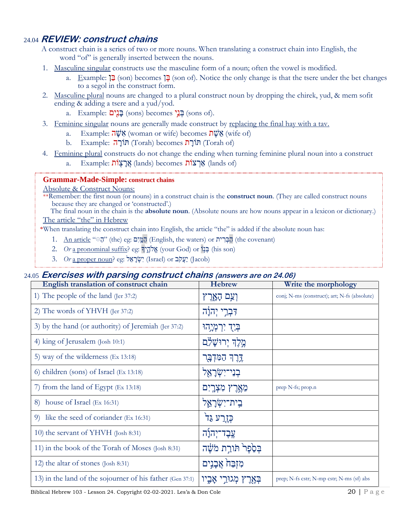# 24.04 **REVIEW: construct chains**

A construct chain is a series of two or more nouns. When translating a construct chain into English, the word "of" is generally inserted between the nouns.

- 1. Masculine singular constructs use the masculine form of a noun; often the vowel is modified.
	- a. Example: ןִ בּ) son) becomes ןִ בּ) son of). Notice the only change is that the tsere under the bet changes to a segol in the construct form.
- 2. Masculine plural nouns are changed to a plural construct noun by dropping the chirek, yud, & mem sofit ending & adding a tsere and a yud/yod.
	- a. Example: **בַּנִים** (sons) becomes) בָּנֵים (sons of).
- 3. Feminine singular nouns are generally made construct by replacing the final hay with a tav.
	- a. Example: אָשָׁה (woman or wife) becomes  $\eta \psi$ אָ (wife of)
	- b. Example: תּוֹרָה (Torah) becomes) תּוֹרָה (Torah of)
- 4. Feminine plural constructs do not change the ending when turning feminine plural noun into a construct
	- a. Example: אֲרָצָוֹת (lands) becomes) אֲרצוֹת (knds of)

#### **Grammar-Made-Simple: construct chains**

#### Absolute & Construct Nouns:

\*\*Remember: the first noun (or nouns) in a construct chain is the **construct noun**. (They are called construct nouns because they are changed or 'constructed'.)

The final noun in the chain is the **absolute noun**. (Absolute nouns are how nouns appear in a lexicon or dictionary.) The article "the" in Hebrew

\*When translating the construct chain into English, the article "the" is added if the absolute noun has:

- 1. An article " "הָמְיִם (English, the waters) or הַבְּרִית (the covenant)
- 2. *Or* a pronominal suffix? eg: אֱלֹהֵיךָ (your God) or בְּנוֹ (his son)
- יִעֲקֹב (Jacob) (Jsrael (יעֲקֹב (Israel) (יעֲקֹב (Jacob)

#### 24.05 **Exercises with parsing construct chains (answers are on 24.06)**

| English translation of construct chain                    | <b>Hebrew</b>                | Write the morphology                         |
|-----------------------------------------------------------|------------------------------|----------------------------------------------|
| 1) The people of the land (Jer 37:2)                      | וְעַם הָאָרֶץ                | conj; N-ms (construct); art; N-fs (absolute) |
| 2) The words of YHVH (Jer 37:2)                           | דִּבְרֵי יְהֹוָה             |                                              |
| 3) by the hand (or authority) of Jeremiah (Jer 37:2)      | ַּבְיֻדָ יִרְמְיָהוּ         |                                              |
| 4) king of Jerusalem (Josh 10:1)                          | מֶלֶךְ יְרוּשָׁלָם           |                                              |
| 5) way of the wilderness (Ex 13:18)                       | דֶרֶךְ הַמִּדְבָּר           |                                              |
| 6) children (sons) of Israel (Ex 13:18)                   | בְנֵי־יִשְׂרָאֵל             |                                              |
| 7) from the land of Egypt (Ex 13:18)                      | מֵאֶרֶץ מִצְרָיִם            | prep N-fs; prop.n                            |
| 8) house of Israel (Ex 16:31)                             | בִית־יִשְׂרָא <del>ֱ</del> ל |                                              |
| like the seed of coriander (Ex 16:31)<br>9)               | כְּזֶרַעֹ גַּד <sup>ָי</sup> |                                              |
| 10) the servant of YHVH (Josh 8:31)                       | עֱבֶד־יְהוָ֫ה                |                                              |
| 11) in the book of the Torah of Moses (Josh 8:31)         | בְּסֵׂפֶר תּוֹרַת מֹשֵׁה     |                                              |
| 12) the altar of stones (Josh 8:31)                       | מִזְבַּהֹ אֲבָנִים           |                                              |
| 13) in the land of the sojourner of his father (Gen 37:1) | מְגוּרֵי אָבִיו              | prep; N-fs cstr; N-mp cstr; N-ms (sf) abs    |

Biblical Hebrew 103 - Lesson 24. Copyright 02-02-2021. Les'a & Don Cole 20 | P a g e